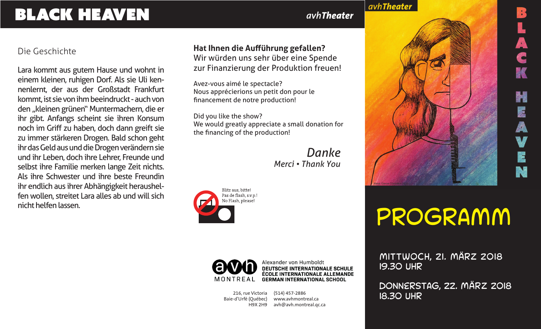# BLACK HEAVEN

### *avhTheater*

avhTheater

#### Die Geschichte

Lara kommt aus gutem Hause und wohnt in einem kleinen, ruhigen Dorf. Als sie Uli kennenlernt, der aus der Großstadt Frankfurt kommt, ist sie von ihm beeindruckt - auch von den "kleinen grünen" Muntermachern, die er ihr gibt. Anfangs scheint sie ihren Konsum noch im Griff zu haben, doch dann greift sie zu immer stärkeren Drogen. Bald schon geht ihr das Geld aus und die Drogen verändern sie und ihr Leben, doch ihre Lehrer, Freunde und selbst ihre Familie merken lange Zeit nichts. Als ihre Schwester und ihre beste Freundin ihr endlich aus ihrer Abhängigkeit heraushelfen wollen, streitet Lara alles ab und will sich nicht helfen lassen.

#### **Hat Ihnen die Aufführung gefallen?** Wir würden uns sehr über eine Spende zur Finanzierung der Produktion freuen!

Avez-vous aimé le spectacle? Nous apprécierions un petit don pour le financement de notre production!

Did you like the show? We would greatly appreciate a small donation for the financing of the production!

> *Danke Merci • Thank You*





Alexander von Humboldt DEUTSCHE INTERNATIONALE SCHULE<br>ÉCOLE INTERNATIONALE ALLEMANDE **GERMAN INTERNATIONAL SCHOOL** 

216, rue Victoria Baie-d'Urfé (Québec) H9X 2H9

(514) 457-2886 www.avhmontreal.ca avh@avh.montreal.qc.ca

# Programm

Mittwoch, 21. MÄRZ 2018 19.30 Uhr

Donnerstag, 22. MÄRZ 2018 18.30 Uhr